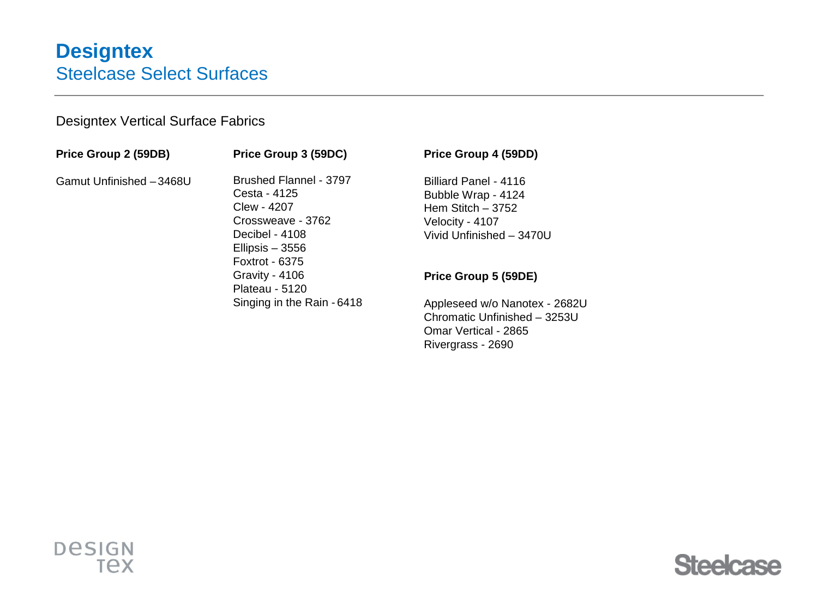Designtex Vertical Surface Fabrics

| Price Group 2 (59DB) |  |
|----------------------|--|
|----------------------|--|

**Price Group 3 (59DC)**

Gamut Unfinished – 3468U

Brushed Flannel - 3797 Cesta - 4125 Clew - 4207 Crossweave - 3762 Decibel - 4108 Ellipsis – 3556 Foxtrot - 6375 Gravity - 4106 Plateau - 5120 Singing in the Rain - 6418

#### **Price Group 4 (59DD)**

Billiard Panel - 4116 Bubble Wrap - 4124 Hem Stitch – 3752 Velocity - 4107 Vivid Unfinished – 3470U

#### **Price Group 5 (59DE)**

Appleseed w/o Nanotex - 2682U Chromatic Unfinished – 3253U Omar Vertical - 2865 Rivergrass - 2690

**DESIGN Tex** 

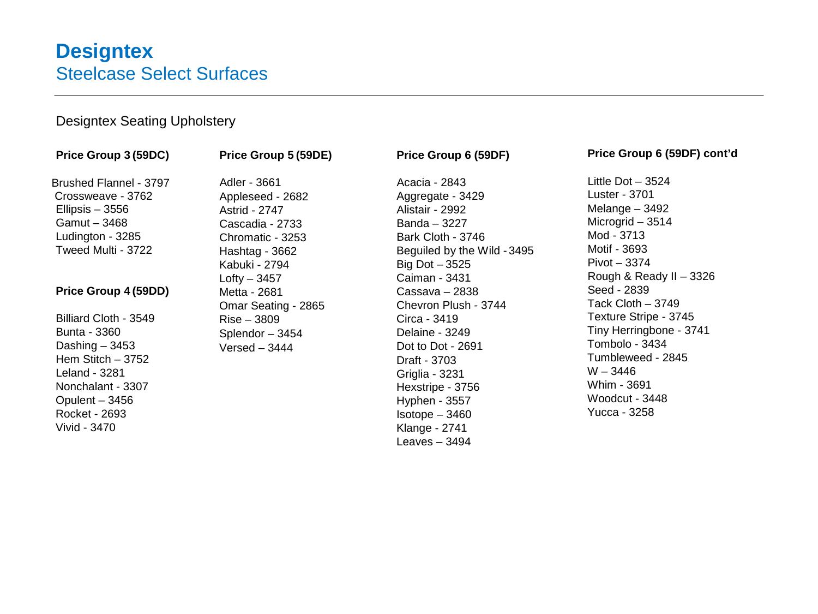#### Designtex Seating Upholstery

### **Price Group 3 (59DC)**

 Brushed Flannel - 3797 Crossweave - 3762 Ellipsis – 3556 Gamut – 3468 Ludington - 3285 Tweed Multi - 3722

#### **Price Group 4 (59DD)**

Billiard Cloth - 3549 Bunta - 3360 Dashing  $-3453$ Hem Stitch – 3752 Leland - 3281 Nonchalant - 3307 Opulent – 3456 Rocket - 2693 Vivid - 3470

# **Price Group 5 (59DE)**

Adler - 3661 Appleseed - 2682 Astrid - 2747 Cascadia - 2733 Chromatic - 3253 Hashtag - 3662 Kabuki - 2794  $Lofty - 3457$ Metta - 2681 Omar Seating - 2865 Rise – 3809 Splendor – 3454 Versed – 3444

#### **Price Group 6 (59DF)**

Acacia - 2843 Aggregate - 3429 Alistair - 2992 Banda – 3227 Bark Cloth - 3746 Beguiled by the Wild - 3495 Big Dot – 3525 Caiman - 3431 Cassava – 2838 Chevron Plush - 3744 Circa - 3419 Delaine - 3249 Dot to Dot - 2691 Draft - 3703 Griglia - 3231 Hexstripe - 3756 Hyphen - 3557 Isotope – 3460 Klange - 2741 Leaves – 3494

#### **Price Group 6 (59DF) cont'd**

Little Dot – 3524 Luster - 3701 Melange – 3492 Microgrid – 3514 Mod - 3713 Motif - 3693 Pivot – 3374 Rough & Ready II – 3326 Seed - 2839 Tack Cloth – 3749 Texture Stripe - 3745 Tiny Herringbone - 3741 Tombolo - 3434 Tumbleweed - 2845  $W - 3446$ Whim - 3691 Woodcut - 3448 Yucca - 3258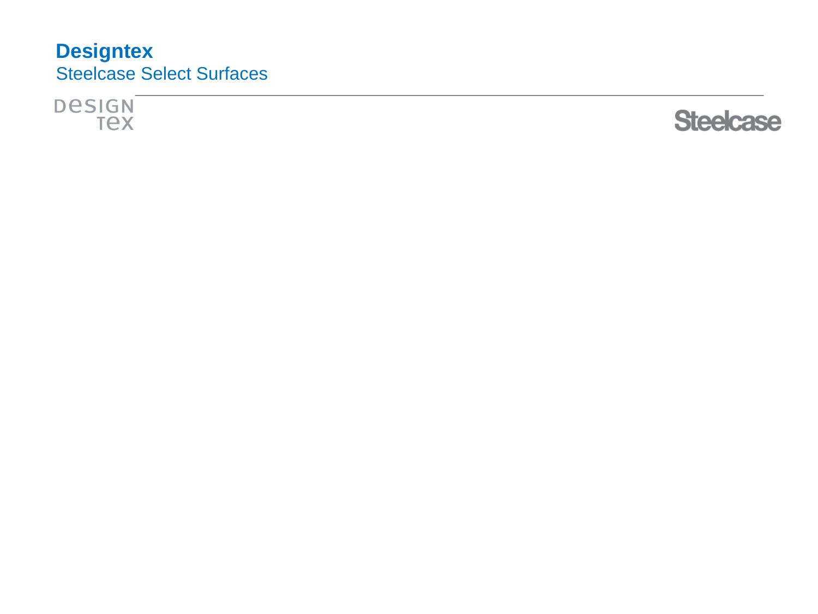DESIGN **TEX** 

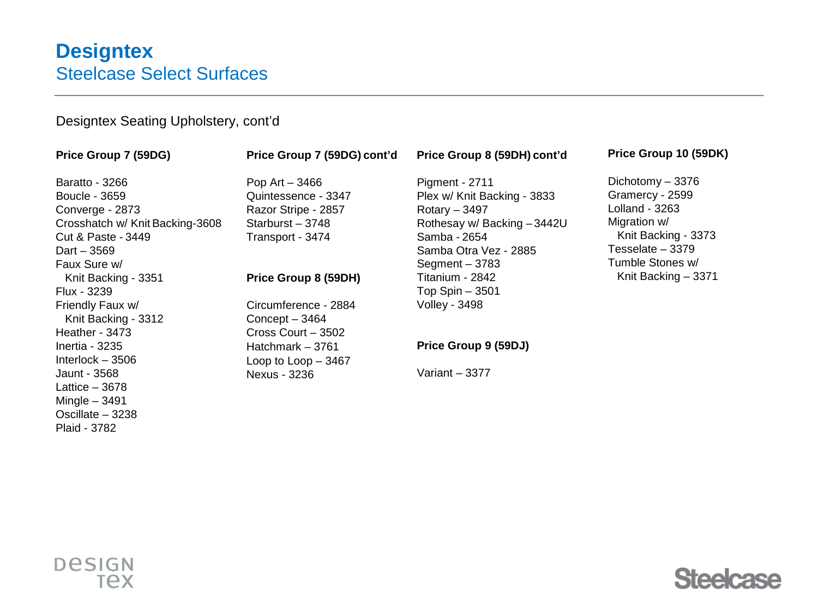#### Designtex Seating Upholstery, cont'd

#### **Price Group 7 (59DG)**

Baratto - 3266 Boucle - 3659 Converge - 2873 Crosshatch w/ Knit Backing-3608 Cut & Paste - 3449 Dart – 3569 Faux Sure w/ Knit Backing - 3351 Flux - 3239 Friendly Faux w/ Knit Backing - 3312 Heather - 3473 Inertia - 3235 Interlock – 3506 Jaunt - 3568 Lattice – 3678 Mingle – 3491 Oscillate – 3238 Plaid - 3782

**DESIGN** 

Tex

Pop Art – 3466 Quintessence - 3347 Razor Stripe - 2857 Starburst – 3748 Transport - 3474

**Price Group 7 (59DG) cont'd**

#### **Price Group 8 (59DH)**

Circumference - 2884 Concept – 3464 Cross Court – 3502 Hatchmark – 3761 Loop to Loop – 3467 Nexus - 3236

#### **Price Group 8 (59DH) cont'd**

Pigment - 2711 Plex w/ Knit Backing - 3833 Rotary – 3497 Rothesay w/ Backing – 3442U Samba - 2654 Samba Otra Vez - 2885 Segment – 3783 Titanium - 2842 Top Spin – 3501 Volley - 3498

#### **Price Group 9 (59DJ)**

Variant – 3377

**Price Group 10 (59DK)**

Dichotomy – 3376 Gramercy - 2599 Lolland - 3263 Migration w/ Knit Backing - 3373 Tesselate – 3379 Tumble Stones w/ Knit Backing – 3371

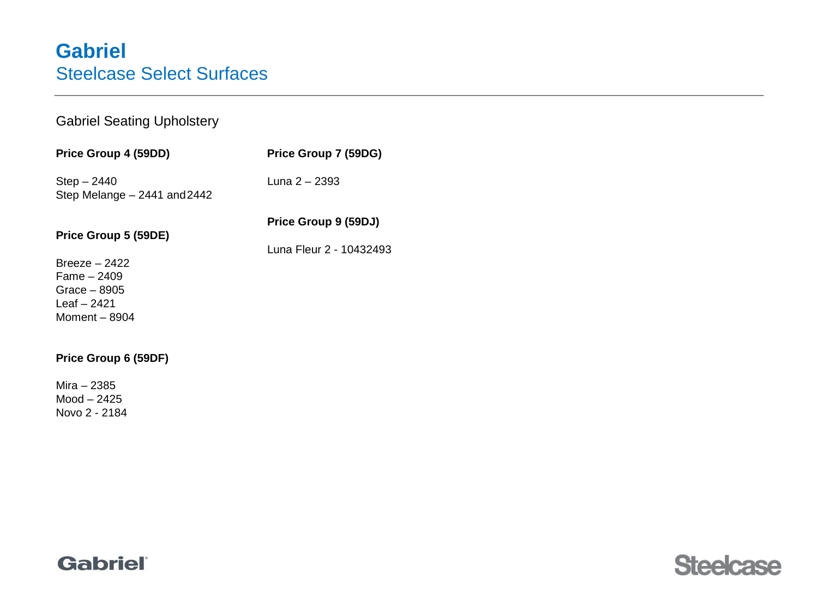# **Gabriel** Steelcase Select Surfaces

### Gabriel Seating Upholstery

| Price Group 4 (59DD)                                                                                     | Price Group 7 (59DG)    |
|----------------------------------------------------------------------------------------------------------|-------------------------|
| $Step - 2440$<br>Step Melange $-2441$ and $2442$                                                         | Luna 2 – 2393           |
|                                                                                                          | Price Group 9 (59DJ)    |
| Price Group 5 (59DE)<br>Breeze – 2422<br>Fame - 2409<br>Grace $-8905$<br>Leaf $-2421$<br>Moment $-$ 8904 | Luna Fleur 2 - 10432493 |

### **Price Group 6 (59DF)**

Mira – 2385 Mood – 2425 Novo 2 - 2184



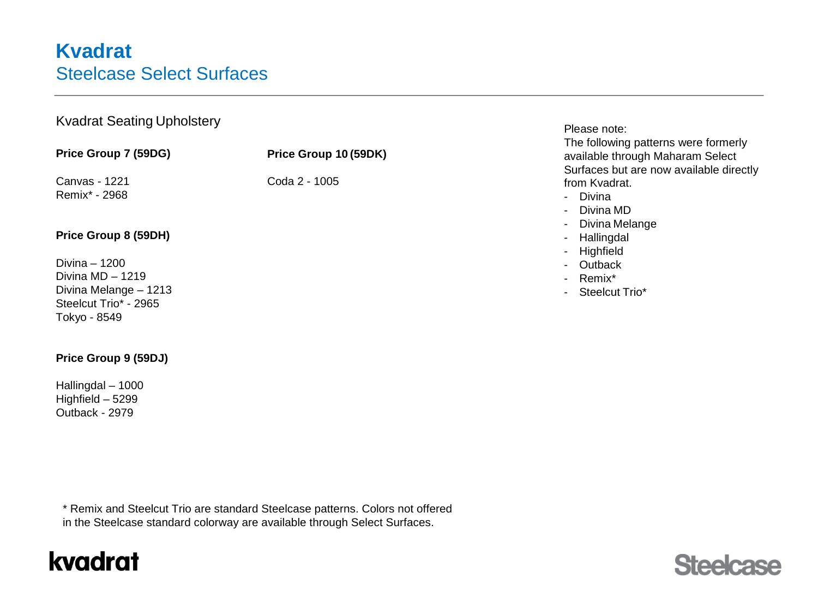# **Kvadrat** Steelcase Select Surfaces

### Kvadrat Seating Upholstery

| Price Group 7 (59DG)                                          | Price Group 10 (59DK) | . וטעטט ווטגע.<br>The following patterns were formerly<br>available through Maharam Select |
|---------------------------------------------------------------|-----------------------|--------------------------------------------------------------------------------------------|
| Canvas - 1221<br>Remix* - 2968                                | Coda 2 - 1005         | Surfaces but are now available directly<br>from Kvadrat.<br>- Divina<br>- Divina MD        |
| Price Group 8 (59DH)                                          |                       | Divina Melange<br>۰.<br>Hallingdal<br>$\sim$<br>- Highfield                                |
| Divina $-1200$<br>Divina $MD - 1219$<br>Divina Melange - 1213 |                       | - Outback<br>- Remix*<br>- Steelcut Trio*                                                  |
| Steelcut Trio* - 2965<br>Tokyo - 8549                         |                       |                                                                                            |

Please note:

#### **Price Group 9 (59DJ)**

Hallingdal – 1000 Highfield – 5299 Outback - 2979

\* Remix and Steelcut Trio are standard Steelcase patterns. Colors not offered in the Steelcase standard colorway are available through Select Surfaces.